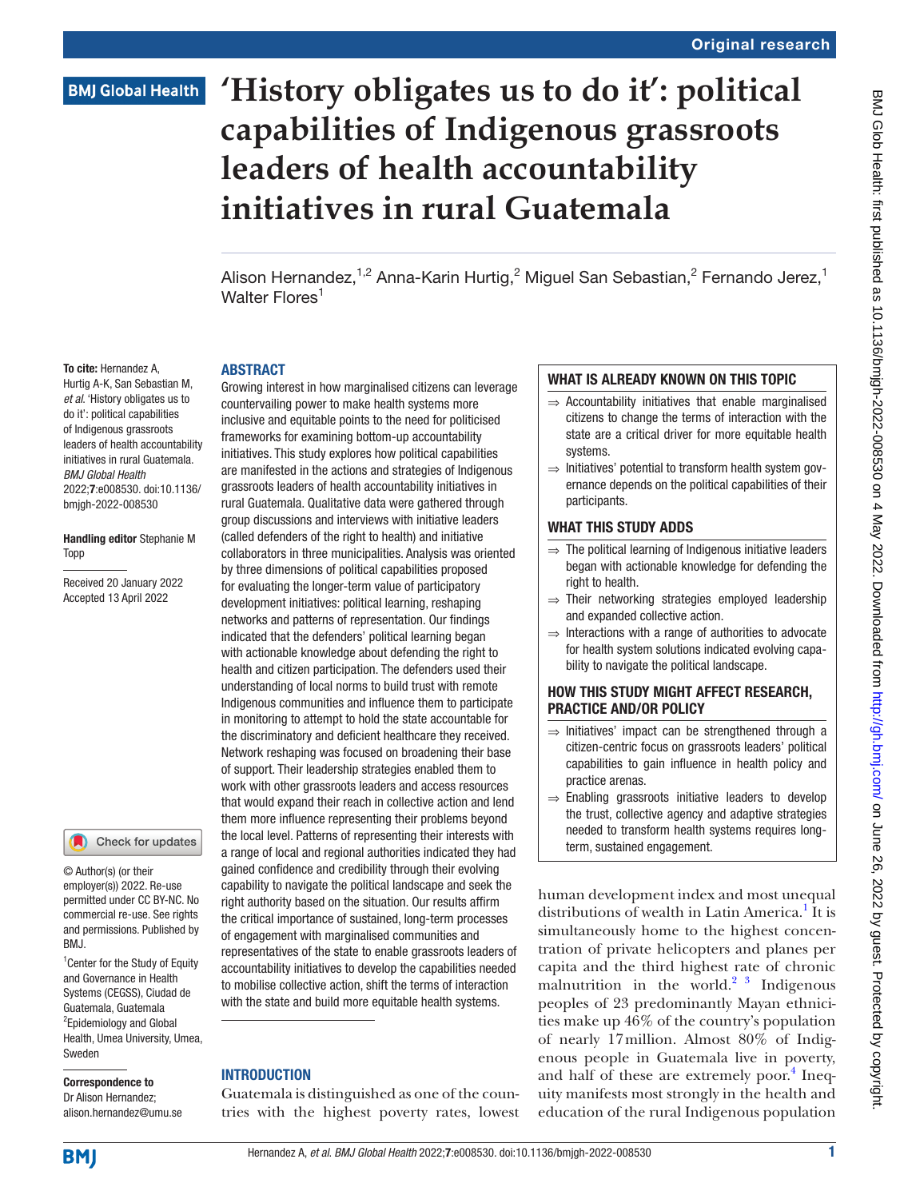# **'History obligates us to do it': political capabilities of Indigenous grassroots leaders of health accountability initiatives in rural Guatemala**

Alison Hernandez,<sup>1,2</sup> Anna-Karin Hurtig,<sup>2</sup> Miguel San Sebastian,<sup>2</sup> Fernando Jerez,<sup>1</sup> Walter Flores<sup>1</sup>

#### To cite: Hernandez A,

Hurtig A-K, San Sebastian M, *et al*. 'History obligates us to do it': political capabilities of Indigenous grassroots leaders of health accountability initiatives in rural Guatemala. *BMJ Global Health* 2022;7:e008530. doi:10.1136/ bmjgh-2022-008530

**ARSTRACT** 

#### Handling editor Stephanie M Topp

Received 20 January 2022 Accepted 13 April 2022

#### Check for updates

© Author(s) (or their employer(s)) 2022. Re-use permitted under CC BY-NC. No commercial re-use. See rights and permissions. Published by RM<sub>J</sub>

<sup>1</sup> Center for the Study of Equity and Governance in Health Systems (CEGSS), Ciudad de Guatemala, Guatemala <sup>2</sup> Epidemiology and Global Health, Umea University, Umea, Sweden

#### Correspondence to Dr Alison Hernandez; alison.hernandez@umu.se

countervailing power to make health systems more inclusive and equitable points to the need for politicised frameworks for examining bottom-up accountability initiatives. This study explores how political capabilities are manifested in the actions and strategies of Indigenous grassroots leaders of health accountability initiatives in rural Guatemala. Qualitative data were gathered through group discussions and interviews with initiative leaders (called defenders of the right to health) and initiative collaborators in three municipalities. Analysis was oriented by three dimensions of political capabilities proposed for evaluating the longer-term value of participatory development initiatives: political learning, reshaping networks and patterns of representation. Our findings indicated that the defenders' political learning began with actionable knowledge about defending the right to health and citizen participation. The defenders used their understanding of local norms to build trust with remote Indigenous communities and influence them to participate in monitoring to attempt to hold the state accountable for the discriminatory and deficient healthcare they received. Network reshaping was focused on broadening their base of support. Their leadership strategies enabled them to work with other grassroots leaders and access resources that would expand their reach in collective action and lend them more influence representing their problems beyond the local level. Patterns of representing their interests with a range of local and regional authorities indicated they had gained confidence and credibility through their evolving capability to navigate the political landscape and seek the right authority based on the situation. Our results affirm the critical importance of sustained, long-term processes of engagement with marginalised communities and representatives of the state to enable grassroots leaders of accountability initiatives to develop the capabilities needed to mobilise collective action, shift the terms of interaction with the state and build more equitable health systems.

Growing interest in how marginalised citizens can leverage

#### INTRODUCTION

Guatemala is distinguished as one of the countries with the highest poverty rates, lowest

### WHAT IS ALREADY KNOWN ON THIS TOPIC

- $\Rightarrow$  Accountability initiatives that enable marginalised citizens to change the terms of interaction with the state are a critical driver for more equitable health systems.
- ⇒ Initiatives' potential to transform health system governance depends on the political capabilities of their participants.

#### WHAT THIS STUDY ADDS

- $\Rightarrow$  The political learning of Indigenous initiative leaders began with actionable knowledge for defending the right to health.
- ⇒ Their networking strategies employed leadership and expanded collective action.
- ⇒ Interactions with a range of authorities to advocate for health system solutions indicated evolving capability to navigate the political landscape.

### HOW THIS STUDY MIGHT AFFECT RESEARCH, PRACTICE AND/OR POLICY

- $\Rightarrow$  Initiatives' impact can be strengthened through a citizen-centric focus on grassroots leaders' political capabilities to gain influence in health policy and practice arenas.
- ⇒ Enabling grassroots initiative leaders to develop the trust, collective agency and adaptive strategies needed to transform health systems requires longterm, sustained engagement.

human development index and most unequal distributions of wealth in Latin America.<sup>[1](#page-10-0)</sup> It is simultaneously home to the highest concentration of private helicopters and planes per capita and the third highest rate of chronic malnutrition in the world.<sup>2</sup>  $\frac{3}{3}$  Indigenous peoples of 23 predominantly Mayan ethnicities make up 46% of the country's population of nearly 17million. Almost 80% of Indigenous people in Guatemala live in poverty, and half of these are extremely poor.<sup>4</sup> Inequity manifests most strongly in the health and education of the rural Indigenous population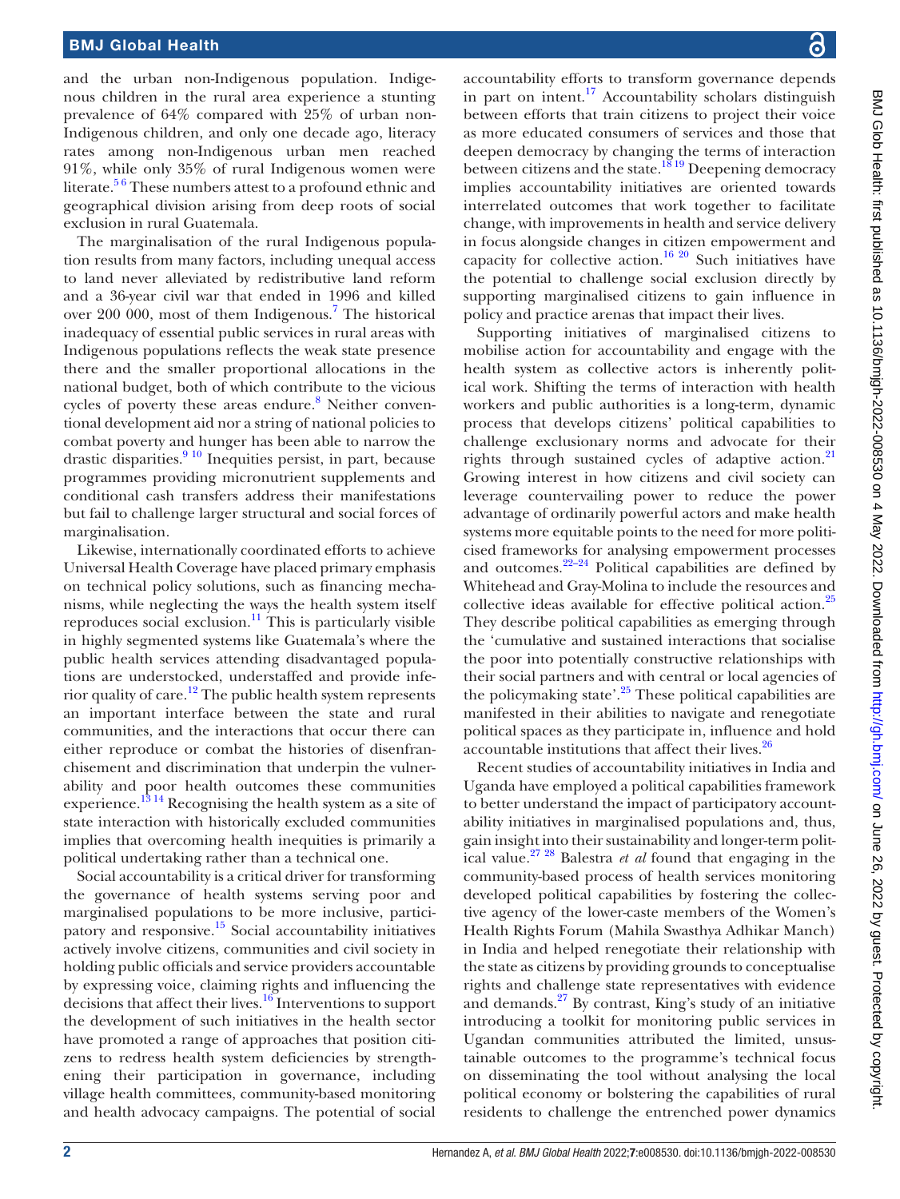and the urban non-Indigenous population. Indigenous children in the rural area experience a stunting prevalence of 64% compared with 25% of urban non-Indigenous children, and only one decade ago, literacy rates among non-Indigenous urban men reached 91%, while only 35% of rural Indigenous women were literate.<sup>56</sup> These numbers attest to a profound ethnic and geographical division arising from deep roots of social exclusion in rural Guatemala.

The marginalisation of the rural Indigenous population results from many factors, including unequal access to land never alleviated by redistributive land reform and a 36-year civil war that ended in 1996 and killed over 200 000, most of them Indigenous.<sup>[7](#page-10-4)</sup> The historical inadequacy of essential public services in rural areas with Indigenous populations reflects the weak state presence there and the smaller proportional allocations in the national budget, both of which contribute to the vicious cycles of poverty these areas endure.<sup>[8](#page-10-5)</sup> Neither conventional development aid nor a string of national policies to combat poverty and hunger has been able to narrow the drastic disparities.<sup>9 10</sup> Inequities persist, in part, because programmes providing micronutrient supplements and conditional cash transfers address their manifestations but fail to challenge larger structural and social forces of marginalisation.

Likewise, internationally coordinated efforts to achieve Universal Health Coverage have placed primary emphasis on technical policy solutions, such as financing mechanisms, while neglecting the ways the health system itself reproduces social exclusion.<sup>11</sup> This is particularly visible in highly segmented systems like Guatemala's where the public health services attending disadvantaged populations are understocked, understaffed and provide inferior quality of care.<sup>12</sup> The public health system represents an important interface between the state and rural communities, and the interactions that occur there can either reproduce or combat the histories of disenfranchisement and discrimination that underpin the vulnerability and poor health outcomes these communities experience.<sup>[13 14](#page-10-9)</sup> Recognising the health system as a site of state interaction with historically excluded communities implies that overcoming health inequities is primarily a political undertaking rather than a technical one.

Social accountability is a critical driver for transforming the governance of health systems serving poor and marginalised populations to be more inclusive, participatory and responsive[.15](#page-10-10) Social accountability initiatives actively involve citizens, communities and civil society in holding public officials and service providers accountable by expressing voice, claiming rights and influencing the decisions that affect their lives.[16](#page-10-11) Interventions to support the development of such initiatives in the health sector have promoted a range of approaches that position citizens to redress health system deficiencies by strengthening their participation in governance, including village health committees, community-based monitoring and health advocacy campaigns. The potential of social

accountability efforts to transform governance depends in part on intent.<sup>[17](#page-10-12)</sup> Accountability scholars distinguish between efforts that train citizens to project their voice as more educated consumers of services and those that deepen democracy by changing the terms of interaction between citizens and the state.<sup>[18 19](#page-10-13)</sup> Deepening democracy implies accountability initiatives are oriented towards interrelated outcomes that work together to facilitate change, with improvements in health and service delivery in focus alongside changes in citizen empowerment and capacity for collective action.<sup>[16 20](#page-10-11)</sup> Such initiatives have the potential to challenge social exclusion directly by supporting marginalised citizens to gain influence in policy and practice arenas that impact their lives.

Supporting initiatives of marginalised citizens to mobilise action for accountability and engage with the health system as collective actors is inherently political work. Shifting the terms of interaction with health workers and public authorities is a long-term, dynamic process that develops citizens' political capabilities to challenge exclusionary norms and advocate for their rights through sustained cycles of adaptive action.<sup>21</sup> Growing interest in how citizens and civil society can leverage countervailing power to reduce the power advantage of ordinarily powerful actors and make health systems more equitable points to the need for more politicised frameworks for analysing empowerment processes and outcomes. $22-24$  Political capabilities are defined by Whitehead and Gray-Molina to include the resources and collective ideas available for effective political action.<sup>25</sup> They describe political capabilities as emerging through the 'cumulative and sustained interactions that socialise the poor into potentially constructive relationships with their social partners and with central or local agencies of the policymaking state'.<sup>25</sup> These political capabilities are manifested in their abilities to navigate and renegotiate political spaces as they participate in, influence and hold accountable institutions that affect their lives.<sup>26</sup>

Recent studies of accountability initiatives in India and Uganda have employed a political capabilities framework to better understand the impact of participatory accountability initiatives in marginalised populations and, thus, gain insight into their sustainability and longer-term political value.[27 28](#page-10-18) Balestra *et al* found that engaging in the community-based process of health services monitoring developed political capabilities by fostering the collective agency of the lower-caste members of the Women's Health Rights Forum (Mahila Swasthya Adhikar Manch) in India and helped renegotiate their relationship with the state as citizens by providing grounds to conceptualise rights and challenge state representatives with evidence and demands.[27](#page-10-18) By contrast, King's study of an initiative introducing a toolkit for monitoring public services in Ugandan communities attributed the limited, unsustainable outcomes to the programme's technical focus on disseminating the tool without analysing the local political economy or bolstering the capabilities of rural residents to challenge the entrenched power dynamics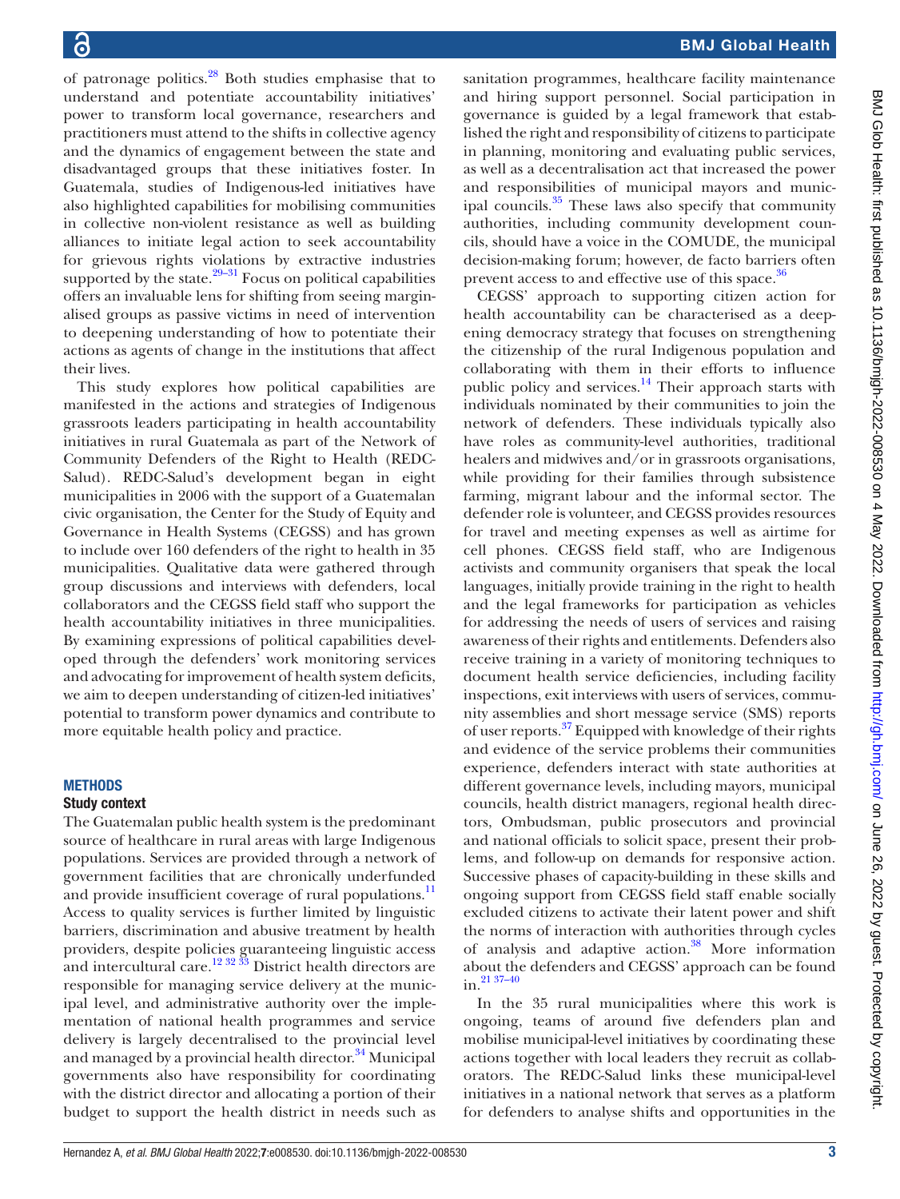of patronage politics.[28](#page-10-19) Both studies emphasise that to understand and potentiate accountability initiatives' power to transform local governance, researchers and practitioners must attend to the shifts in collective agency and the dynamics of engagement between the state and disadvantaged groups that these initiatives foster. In Guatemala, studies of Indigenous-led initiatives have also highlighted capabilities for mobilising communities in collective non-violent resistance as well as building alliances to initiate legal action to seek accountability for grievous rights violations by extractive industries supported by the state. $29-31$  Focus on political capabilities offers an invaluable lens for shifting from seeing marginalised groups as passive victims in need of intervention to deepening understanding of how to potentiate their actions as agents of change in the institutions that affect their lives.

This study explores how political capabilities are manifested in the actions and strategies of Indigenous grassroots leaders participating in health accountability initiatives in rural Guatemala as part of the Network of Community Defenders of the Right to Health (REDC-Salud). REDC-Salud's development began in eight municipalities in 2006 with the support of a Guatemalan civic organisation, the Center for the Study of Equity and Governance in Health Systems (CEGSS) and has grown to include over 160 defenders of the right to health in 35 municipalities. Qualitative data were gathered through group discussions and interviews with defenders, local collaborators and the CEGSS field staff who support the health accountability initiatives in three municipalities. By examining expressions of political capabilities developed through the defenders' work monitoring services and advocating for improvement of health system deficits, we aim to deepen understanding of citizen-led initiatives' potential to transform power dynamics and contribute to more equitable health policy and practice.

#### **METHODS**

#### Study context

The Guatemalan public health system is the predominant source of healthcare in rural areas with large Indigenous populations. Services are provided through a network of government facilities that are chronically underfunded and provide insufficient coverage of rural populations.<sup>11</sup> Access to quality services is further limited by linguistic barriers, discrimination and abusive treatment by health providers, despite policies guaranteeing linguistic access and intercultural care.<sup>12 32</sup>  $\frac{33}{33}$  District health directors are responsible for managing service delivery at the municipal level, and administrative authority over the implementation of national health programmes and service delivery is largely decentralised to the provincial level and managed by a provincial health director. $34$  Municipal governments also have responsibility for coordinating with the district director and allocating a portion of their budget to support the health district in needs such as

sanitation programmes, healthcare facility maintenance and hiring support personnel. Social participation in governance is guided by a legal framework that established the right and responsibility of citizens to participate in planning, monitoring and evaluating public services, as well as a decentralisation act that increased the power and responsibilities of municipal mayors and municipal councils. $35$  These laws also specify that community authorities, including community development councils, should have a voice in the COMUDE, the municipal decision-making forum; however, de facto barriers often prevent access to and effective use of this space.<sup>[36](#page-11-2)</sup>

CEGSS' approach to supporting citizen action for health accountability can be characterised as a deepening democracy strategy that focuses on strengthening the citizenship of the rural Indigenous population and collaborating with them in their efforts to influence public policy and services.<sup>14</sup> Their approach starts with individuals nominated by their communities to join the network of defenders. These individuals typically also have roles as community-level authorities, traditional healers and midwives and/or in grassroots organisations, while providing for their families through subsistence farming, migrant labour and the informal sector. The defender role is volunteer, and CEGSS provides resources for travel and meeting expenses as well as airtime for cell phones. CEGSS field staff, who are Indigenous activists and community organisers that speak the local languages, initially provide training in the right to health and the legal frameworks for participation as vehicles for addressing the needs of users of services and raising awareness of their rights and entitlements. Defenders also receive training in a variety of monitoring techniques to document health service deficiencies, including facility inspections, exit interviews with users of services, community assemblies and short message service (SMS) reports of user reports.<sup>37</sup> Equipped with knowledge of their rights and evidence of the service problems their communities experience, defenders interact with state authorities at different governance levels, including mayors, municipal councils, health district managers, regional health directors, Ombudsman, public prosecutors and provincial and national officials to solicit space, present their problems, and follow-up on demands for responsive action. Successive phases of capacity-building in these skills and ongoing support from CEGSS field staff enable socially excluded citizens to activate their latent power and shift the norms of interaction with authorities through cycles of analysis and adaptive action.<sup>[38](#page-11-4)</sup> More information about the defenders and CEGSS' approach can be found in[.21 37–40](#page-10-14)

In the 35 rural municipalities where this work is ongoing, teams of around five defenders plan and mobilise municipal-level initiatives by coordinating these actions together with local leaders they recruit as collaborators. The REDC-Salud links these municipal-level initiatives in a national network that serves as a platform for defenders to analyse shifts and opportunities in the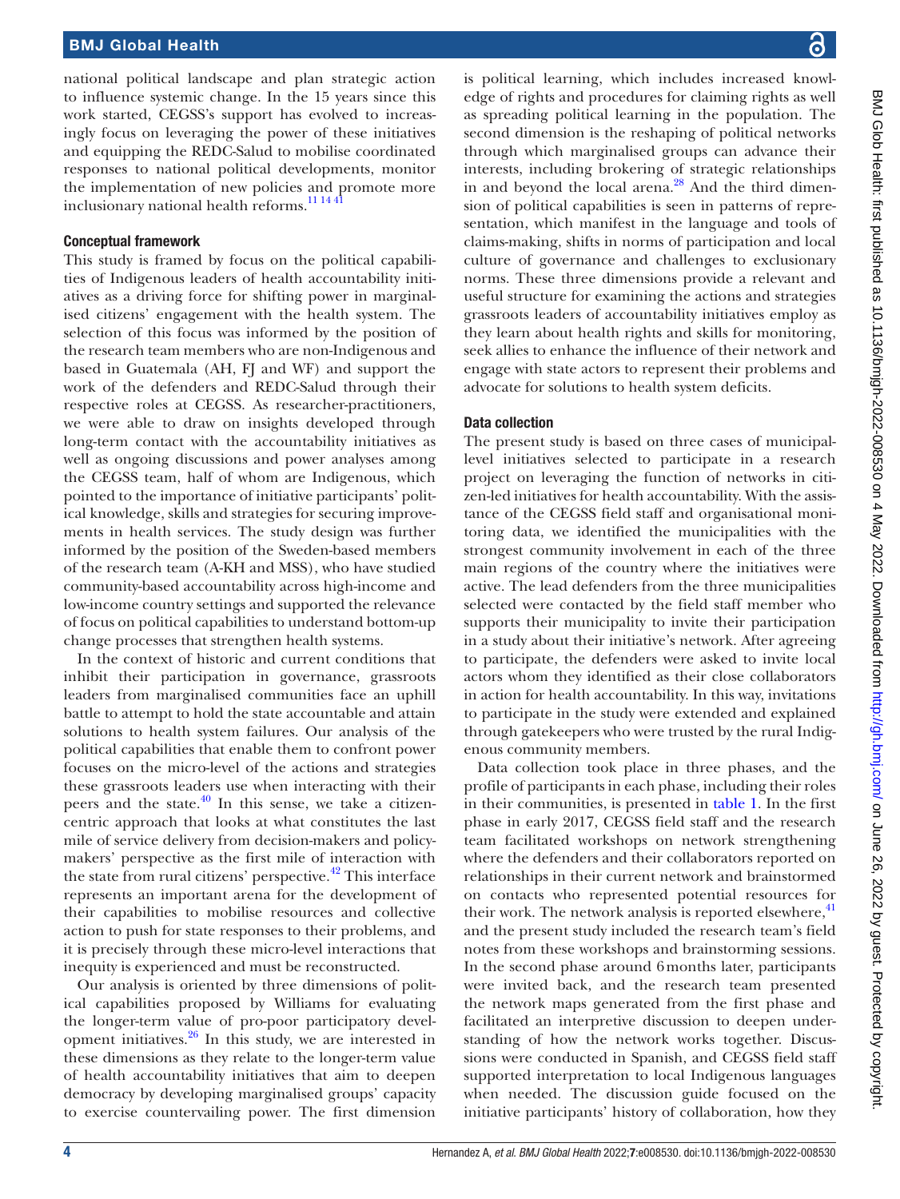national political landscape and plan strategic action to influence systemic change. In the 15 years since this work started, CEGSS's support has evolved to increasingly focus on leveraging the power of these initiatives and equipping the REDC-Salud to mobilise coordinated responses to national political developments, monitor the implementation of new policies and promote more inclusionary national health reforms.<sup>[11 14 41](#page-10-7)</sup>

#### Conceptual framework

This study is framed by focus on the political capabilities of Indigenous leaders of health accountability initiatives as a driving force for shifting power in marginalised citizens' engagement with the health system. The selection of this focus was informed by the position of the research team members who are non-Indigenous and based in Guatemala (AH, FJ and WF) and support the work of the defenders and REDC-Salud through their respective roles at CEGSS. As researcher-practitioners, we were able to draw on insights developed through long-term contact with the accountability initiatives as well as ongoing discussions and power analyses among the CEGSS team, half of whom are Indigenous, which pointed to the importance of initiative participants' political knowledge, skills and strategies for securing improvements in health services. The study design was further informed by the position of the Sweden-based members of the research team (A-KH and MSS), who have studied community-based accountability across high-income and low-income country settings and supported the relevance of focus on political capabilities to understand bottom-up change processes that strengthen health systems.

In the context of historic and current conditions that inhibit their participation in governance, grassroots leaders from marginalised communities face an uphill battle to attempt to hold the state accountable and attain solutions to health system failures. Our analysis of the political capabilities that enable them to confront power focuses on the micro-level of the actions and strategies these grassroots leaders use when interacting with their peers and the state. $40$  In this sense, we take a citizencentric approach that looks at what constitutes the last mile of service delivery from decision-makers and policymakers' perspective as the first mile of interaction with the state from rural citizens' perspective.<sup>[42](#page-11-6)</sup> This interface represents an important arena for the development of their capabilities to mobilise resources and collective action to push for state responses to their problems, and it is precisely through these micro-level interactions that inequity is experienced and must be reconstructed.

Our analysis is oriented by three dimensions of political capabilities proposed by Williams for evaluating the longer-term value of pro-poor participatory development initiatives. $26$  In this study, we are interested in these dimensions as they relate to the longer-term value of health accountability initiatives that aim to deepen democracy by developing marginalised groups' capacity to exercise countervailing power. The first dimension

is political learning, which includes increased knowledge of rights and procedures for claiming rights as well as spreading political learning in the population. The second dimension is the reshaping of political networks through which marginalised groups can advance their interests, including brokering of strategic relationships in and beyond the local arena. $^{28}$  And the third dimension of political capabilities is seen in patterns of representation, which manifest in the language and tools of claims-making, shifts in norms of participation and local culture of governance and challenges to exclusionary norms. These three dimensions provide a relevant and useful structure for examining the actions and strategies grassroots leaders of accountability initiatives employ as they learn about health rights and skills for monitoring, seek allies to enhance the influence of their network and engage with state actors to represent their problems and advocate for solutions to health system deficits.

### Data collection

The present study is based on three cases of municipallevel initiatives selected to participate in a research project on leveraging the function of networks in citizen-led initiatives for health accountability. With the assistance of the CEGSS field staff and organisational monitoring data, we identified the municipalities with the strongest community involvement in each of the three main regions of the country where the initiatives were active. The lead defenders from the three municipalities selected were contacted by the field staff member who supports their municipality to invite their participation in a study about their initiative's network. After agreeing to participate, the defenders were asked to invite local actors whom they identified as their close collaborators in action for health accountability. In this way, invitations to participate in the study were extended and explained through gatekeepers who were trusted by the rural Indigenous community members.

Data collection took place in three phases, and the profile of participants in each phase, including their roles in their communities, is presented in [table](#page-4-0) 1. In the first phase in early 2017, CEGSS field staff and the research team facilitated workshops on network strengthening where the defenders and their collaborators reported on relationships in their current network and brainstormed on contacts who represented potential resources for their work. The network analysis is reported elsewhere, $41$ and the present study included the research team's field notes from these workshops and brainstorming sessions. In the second phase around 6months later, participants were invited back, and the research team presented the network maps generated from the first phase and facilitated an interpretive discussion to deepen understanding of how the network works together. Discussions were conducted in Spanish, and CEGSS field staff supported interpretation to local Indigenous languages when needed. The discussion guide focused on the initiative participants' history of collaboration, how they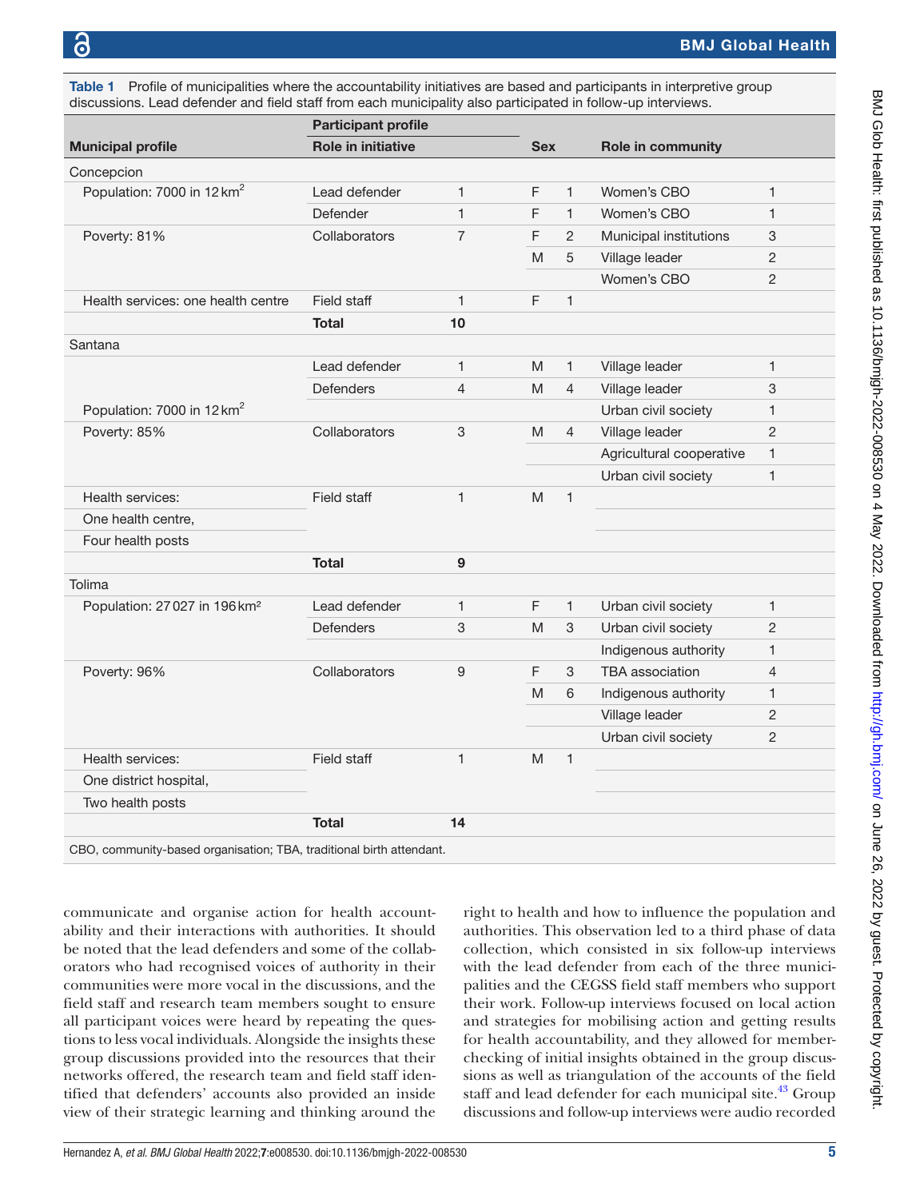<span id="page-4-0"></span>Table 1 Profile of municipalities where the accountability initiatives are based and participants in interpretive group discussions. Lead defender and field staff from each municipality also participated in follow-up interviews.

|                                          | <b>Participant profile</b> |                |            |                |                          |                |  |
|------------------------------------------|----------------------------|----------------|------------|----------------|--------------------------|----------------|--|
| <b>Municipal profile</b>                 | <b>Role in initiative</b>  |                | <b>Sex</b> |                | <b>Role in community</b> |                |  |
| Concepcion                               |                            |                |            |                |                          |                |  |
| Population: 7000 in 12 km <sup>2</sup>   | Lead defender              | 1              | F          | 1              | Women's CBO              | $\mathbf{1}$   |  |
|                                          | Defender                   | $\mathbf{1}$   | F          | $\mathbf{1}$   | Women's CBO              | $\mathbf{1}$   |  |
| Poverty: 81%                             | Collaborators              | $\overline{7}$ | F          | $\overline{2}$ | Municipal institutions   | 3              |  |
|                                          |                            |                | M          | 5              | Village leader           | $\mathbf{2}$   |  |
|                                          |                            |                |            |                | Women's CBO              | 2              |  |
| Health services: one health centre       | Field staff                | 1              | F          | 1              |                          |                |  |
|                                          | <b>Total</b>               | 10             |            |                |                          |                |  |
| Santana                                  |                            |                |            |                |                          |                |  |
|                                          | Lead defender              | 1              | M          | 1              | Village leader           | $\mathbf{1}$   |  |
|                                          | <b>Defenders</b>           | $\overline{4}$ | M          | $\overline{4}$ | Village leader           | $\mathbf{3}$   |  |
| Population: 7000 in 12 km <sup>2</sup>   |                            |                |            |                | Urban civil society      | $\mathbf{1}$   |  |
| Poverty: 85%                             | Collaborators              | 3              | M          | $\overline{4}$ | Village leader           | 2              |  |
|                                          |                            |                |            |                | Agricultural cooperative | $\mathbf{1}$   |  |
|                                          |                            |                |            |                | Urban civil society      | $\mathbf{1}$   |  |
| Health services:                         | Field staff                | $\mathbf{1}$   | M          | $\mathbf{1}$   |                          |                |  |
| One health centre,                       |                            |                |            |                |                          |                |  |
| Four health posts                        |                            |                |            |                |                          |                |  |
|                                          | <b>Total</b>               | $\mathbf{9}$   |            |                |                          |                |  |
| Tolima                                   |                            |                |            |                |                          |                |  |
| Population: 27027 in 196 km <sup>2</sup> | Lead defender              | $\mathbf{1}$   | F          | 1              | Urban civil society      | $\mathbf{1}$   |  |
|                                          | <b>Defenders</b>           | 3              | M          | 3              | Urban civil society      | $\overline{2}$ |  |
|                                          |                            |                |            |                | Indigenous authority     | $\mathbf{1}$   |  |
| Poverty: 96%                             | Collaborators              | 9              | F          | 3              | TBA association          | $\overline{4}$ |  |
|                                          |                            |                | M          | 6              | Indigenous authority     | $\mathbf{1}$   |  |
|                                          |                            |                |            |                | Village leader           | 2              |  |
|                                          |                            |                |            |                | Urban civil society      | $\overline{2}$ |  |
| Health services:                         | Field staff                | $\mathbf{1}$   | M          | $\mathbf{1}$   |                          |                |  |
| One district hospital,                   |                            |                |            |                |                          |                |  |
| Two health posts                         |                            |                |            |                |                          |                |  |
|                                          | <b>Total</b>               | 14             |            |                |                          |                |  |
|                                          |                            |                |            |                |                          |                |  |

CBO, community-based organisation; TBA, traditional birth attendant.

communicate and organise action for health accountability and their interactions with authorities. It should be noted that the lead defenders and some of the collaborators who had recognised voices of authority in their communities were more vocal in the discussions, and the field staff and research team members sought to ensure all participant voices were heard by repeating the questions to less vocal individuals. Alongside the insights these group discussions provided into the resources that their networks offered, the research team and field staff identified that defenders' accounts also provided an inside view of their strategic learning and thinking around the

right to health and how to influence the population and authorities. This observation led to a third phase of data collection, which consisted in six follow-up interviews with the lead defender from each of the three municipalities and the CEGSS field staff members who support their work. Follow-up interviews focused on local action and strategies for mobilising action and getting results for health accountability, and they allowed for memberchecking of initial insights obtained in the group discussions as well as triangulation of the accounts of the field staff and lead defender for each municipal site.<sup>43</sup> Group discussions and follow-up interviews were audio recorded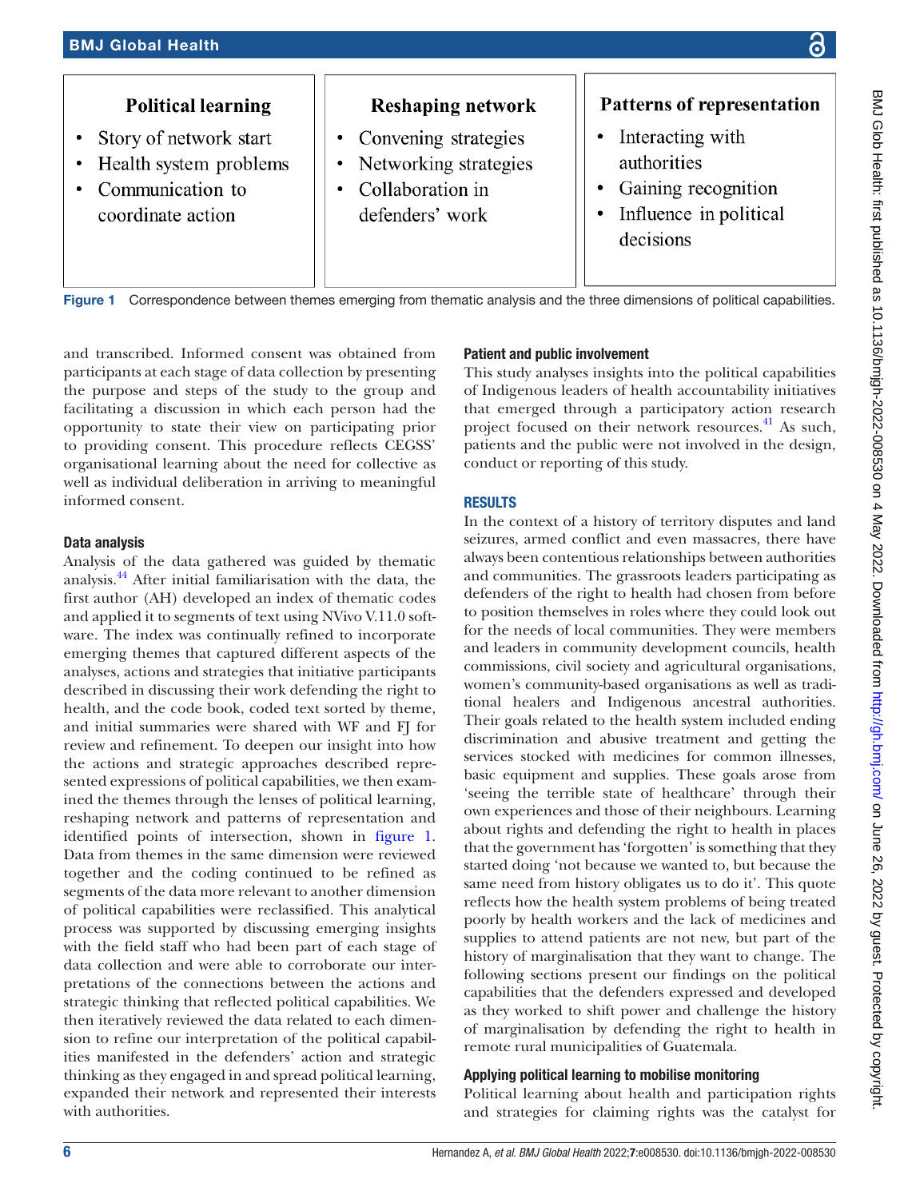

<span id="page-5-0"></span>Figure 1 Correspondence between themes emerging from thematic analysis and the three dimensions of political capabilities.

and transcribed. Informed consent was obtained from participants at each stage of data collection by presenting the purpose and steps of the study to the group and facilitating a discussion in which each person had the opportunity to state their view on participating prior to providing consent. This procedure reflects CEGSS' organisational learning about the need for collective as well as individual deliberation in arriving to meaningful informed consent.

### Data analysis

Analysis of the data gathered was guided by thematic analysis[.44](#page-11-9) After initial familiarisation with the data, the first author (AH) developed an index of thematic codes and applied it to segments of text using NVivo V.11.0 software. The index was continually refined to incorporate emerging themes that captured different aspects of the analyses, actions and strategies that initiative participants described in discussing their work defending the right to health, and the code book, coded text sorted by theme, and initial summaries were shared with WF and FJ for review and refinement. To deepen our insight into how the actions and strategic approaches described represented expressions of political capabilities, we then examined the themes through the lenses of political learning, reshaping network and patterns of representation and identified points of intersection, shown in [figure](#page-5-0) 1. Data from themes in the same dimension were reviewed together and the coding continued to be refined as segments of the data more relevant to another dimension of political capabilities were reclassified. This analytical process was supported by discussing emerging insights with the field staff who had been part of each stage of data collection and were able to corroborate our interpretations of the connections between the actions and strategic thinking that reflected political capabilities. We then iteratively reviewed the data related to each dimension to refine our interpretation of the political capabilities manifested in the defenders' action and strategic thinking as they engaged in and spread political learning, expanded their network and represented their interests with authorities.

## Patient and public involvement

This study analyses insights into the political capabilities of Indigenous leaders of health accountability initiatives that emerged through a participatory action research project focused on their network resources.<sup>41</sup> As such, patients and the public were not involved in the design, conduct or reporting of this study.

## RESULTS

In the context of a history of territory disputes and land seizures, armed conflict and even massacres, there have always been contentious relationships between authorities and communities. The grassroots leaders participating as defenders of the right to health had chosen from before to position themselves in roles where they could look out for the needs of local communities. They were members and leaders in community development councils, health commissions, civil society and agricultural organisations, women's community-based organisations as well as traditional healers and Indigenous ancestral authorities. Their goals related to the health system included ending discrimination and abusive treatment and getting the services stocked with medicines for common illnesses, basic equipment and supplies. These goals arose from 'seeing the terrible state of healthcare' through their own experiences and those of their neighbours. Learning about rights and defending the right to health in places that the government has 'forgotten' is something that they started doing 'not because we wanted to, but because the same need from history obligates us to do it'. This quote reflects how the health system problems of being treated poorly by health workers and the lack of medicines and supplies to attend patients are not new, but part of the history of marginalisation that they want to change. The following sections present our findings on the political capabilities that the defenders expressed and developed as they worked to shift power and challenge the history of marginalisation by defending the right to health in remote rural municipalities of Guatemala.

## Applying political learning to mobilise monitoring

Political learning about health and participation rights and strategies for claiming rights was the catalyst for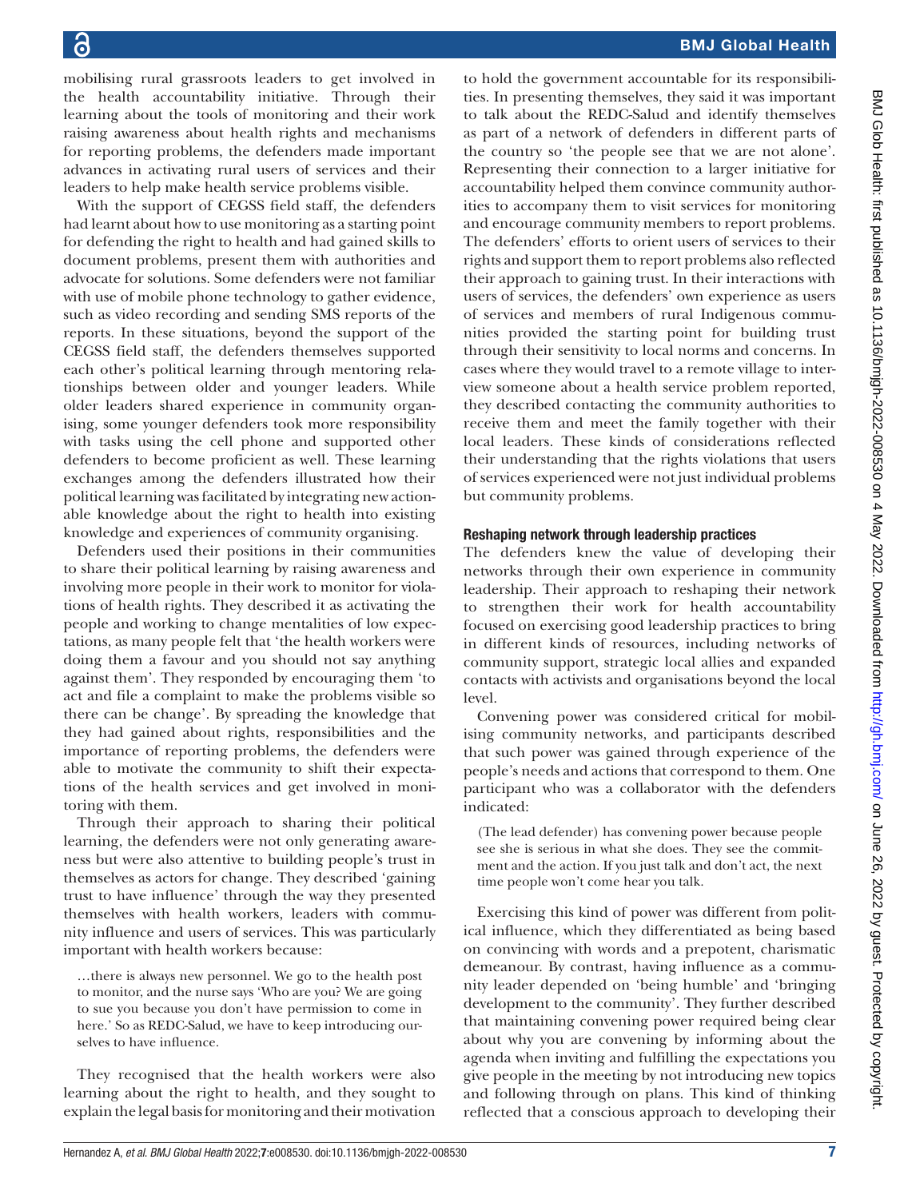mobilising rural grassroots leaders to get involved in the health accountability initiative. Through their learning about the tools of monitoring and their work raising awareness about health rights and mechanisms for reporting problems, the defenders made important advances in activating rural users of services and their leaders to help make health service problems visible.

With the support of CEGSS field staff, the defenders had learnt about how to use monitoring as a starting point for defending the right to health and had gained skills to document problems, present them with authorities and advocate for solutions. Some defenders were not familiar with use of mobile phone technology to gather evidence, such as video recording and sending SMS reports of the reports. In these situations, beyond the support of the CEGSS field staff, the defenders themselves supported each other's political learning through mentoring relationships between older and younger leaders. While older leaders shared experience in community organising, some younger defenders took more responsibility with tasks using the cell phone and supported other defenders to become proficient as well. These learning exchanges among the defenders illustrated how their political learning was facilitated by integrating new actionable knowledge about the right to health into existing knowledge and experiences of community organising.

Defenders used their positions in their communities to share their political learning by raising awareness and involving more people in their work to monitor for violations of health rights. They described it as activating the people and working to change mentalities of low expectations, as many people felt that 'the health workers were doing them a favour and you should not say anything against them'. They responded by encouraging them 'to act and file a complaint to make the problems visible so there can be change'. By spreading the knowledge that they had gained about rights, responsibilities and the importance of reporting problems, the defenders were able to motivate the community to shift their expectations of the health services and get involved in monitoring with them.

Through their approach to sharing their political learning, the defenders were not only generating awareness but were also attentive to building people's trust in themselves as actors for change. They described 'gaining trust to have influence' through the way they presented themselves with health workers, leaders with community influence and users of services. This was particularly important with health workers because:

…there is always new personnel. We go to the health post to monitor, and the nurse says 'Who are you? We are going to sue you because you don't have permission to come in here.' So as REDC-Salud, we have to keep introducing ourselves to have influence.

They recognised that the health workers were also learning about the right to health, and they sought to explain the legal basis for monitoring and their motivation

to hold the government accountable for its responsibilities. In presenting themselves, they said it was important to talk about the REDC-Salud and identify themselves as part of a network of defenders in different parts of the country so 'the people see that we are not alone'. Representing their connection to a larger initiative for accountability helped them convince community authorities to accompany them to visit services for monitoring and encourage community members to report problems. The defenders' efforts to orient users of services to their rights and support them to report problems also reflected their approach to gaining trust. In their interactions with users of services, the defenders' own experience as users of services and members of rural Indigenous communities provided the starting point for building trust through their sensitivity to local norms and concerns. In cases where they would travel to a remote village to interview someone about a health service problem reported, they described contacting the community authorities to receive them and meet the family together with their local leaders. These kinds of considerations reflected their understanding that the rights violations that users of services experienced were not just individual problems but community problems.

#### Reshaping network through leadership practices

The defenders knew the value of developing their networks through their own experience in community leadership. Their approach to reshaping their network to strengthen their work for health accountability focused on exercising good leadership practices to bring in different kinds of resources, including networks of community support, strategic local allies and expanded contacts with activists and organisations beyond the local level.

Convening power was considered critical for mobilising community networks, and participants described that such power was gained through experience of the people's needs and actions that correspond to them. One participant who was a collaborator with the defenders indicated:

(The lead defender) has convening power because people see she is serious in what she does. They see the commitment and the action. If you just talk and don't act, the next time people won't come hear you talk.

Exercising this kind of power was different from political influence, which they differentiated as being based on convincing with words and a prepotent, charismatic demeanour. By contrast, having influence as a community leader depended on 'being humble' and 'bringing development to the community'. They further described that maintaining convening power required being clear about why you are convening by informing about the agenda when inviting and fulfilling the expectations you give people in the meeting by not introducing new topics and following through on plans. This kind of thinking reflected that a conscious approach to developing their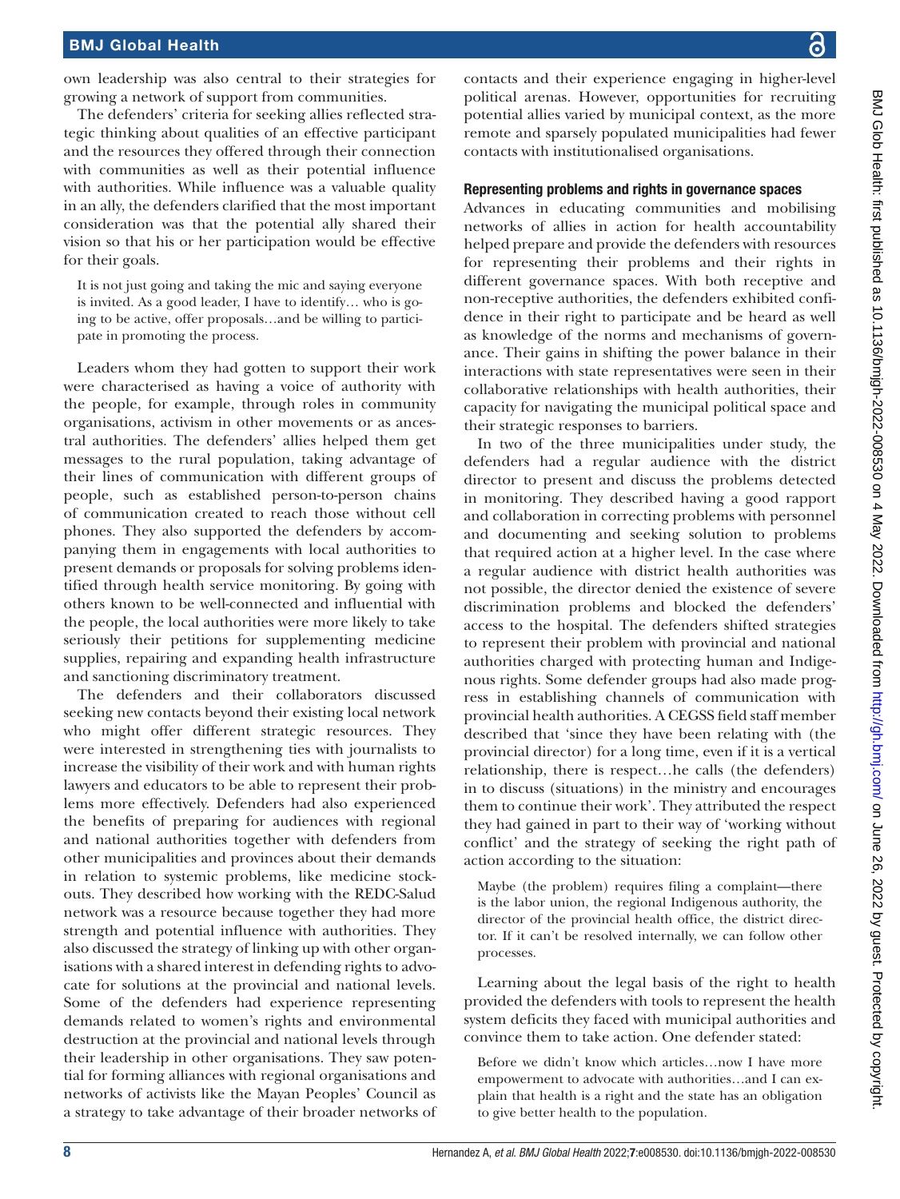own leadership was also central to their strategies for growing a network of support from communities.

The defenders' criteria for seeking allies reflected strategic thinking about qualities of an effective participant and the resources they offered through their connection with communities as well as their potential influence with authorities. While influence was a valuable quality in an ally, the defenders clarified that the most important consideration was that the potential ally shared their vision so that his or her participation would be effective for their goals.

It is not just going and taking the mic and saying everyone is invited. As a good leader, I have to identify… who is going to be active, offer proposals…and be willing to participate in promoting the process.

Leaders whom they had gotten to support their work were characterised as having a voice of authority with the people, for example, through roles in community organisations, activism in other movements or as ancestral authorities. The defenders' allies helped them get messages to the rural population, taking advantage of their lines of communication with different groups of people, such as established person-to-person chains of communication created to reach those without cell phones. They also supported the defenders by accompanying them in engagements with local authorities to present demands or proposals for solving problems identified through health service monitoring. By going with others known to be well-connected and influential with the people, the local authorities were more likely to take seriously their petitions for supplementing medicine supplies, repairing and expanding health infrastructure and sanctioning discriminatory treatment.

The defenders and their collaborators discussed seeking new contacts beyond their existing local network who might offer different strategic resources. They were interested in strengthening ties with journalists to increase the visibility of their work and with human rights lawyers and educators to be able to represent their problems more effectively. Defenders had also experienced the benefits of preparing for audiences with regional and national authorities together with defenders from other municipalities and provinces about their demands in relation to systemic problems, like medicine stockouts. They described how working with the REDC-Salud network was a resource because together they had more strength and potential influence with authorities. They also discussed the strategy of linking up with other organisations with a shared interest in defending rights to advocate for solutions at the provincial and national levels. Some of the defenders had experience representing demands related to women's rights and environmental destruction at the provincial and national levels through their leadership in other organisations. They saw potential for forming alliances with regional organisations and networks of activists like the Mayan Peoples' Council as a strategy to take advantage of their broader networks of contacts and their experience engaging in higher-level political arenas. However, opportunities for recruiting potential allies varied by municipal context, as the more remote and sparsely populated municipalities had fewer contacts with institutionalised organisations.

#### Representing problems and rights in governance spaces

Advances in educating communities and mobilising networks of allies in action for health accountability helped prepare and provide the defenders with resources for representing their problems and their rights in different governance spaces. With both receptive and non-receptive authorities, the defenders exhibited confidence in their right to participate and be heard as well as knowledge of the norms and mechanisms of governance. Their gains in shifting the power balance in their interactions with state representatives were seen in their collaborative relationships with health authorities, their capacity for navigating the municipal political space and their strategic responses to barriers.

In two of the three municipalities under study, the defenders had a regular audience with the district director to present and discuss the problems detected in monitoring. They described having a good rapport and collaboration in correcting problems with personnel and documenting and seeking solution to problems that required action at a higher level. In the case where a regular audience with district health authorities was not possible, the director denied the existence of severe discrimination problems and blocked the defenders' access to the hospital. The defenders shifted strategies to represent their problem with provincial and national authorities charged with protecting human and Indigenous rights. Some defender groups had also made progress in establishing channels of communication with provincial health authorities. A CEGSS field staff member described that 'since they have been relating with (the provincial director) for a long time, even if it is a vertical relationship, there is respect…he calls (the defenders) in to discuss (situations) in the ministry and encourages them to continue their work'. They attributed the respect they had gained in part to their way of 'working without conflict' and the strategy of seeking the right path of action according to the situation:

Maybe (the problem) requires filing a complaint—there is the labor union, the regional Indigenous authority, the director of the provincial health office, the district director. If it can't be resolved internally, we can follow other processes.

Learning about the legal basis of the right to health provided the defenders with tools to represent the health system deficits they faced with municipal authorities and convince them to take action. One defender stated:

Before we didn't know which articles…now I have more empowerment to advocate with authorities…and I can explain that health is a right and the state has an obligation to give better health to the population.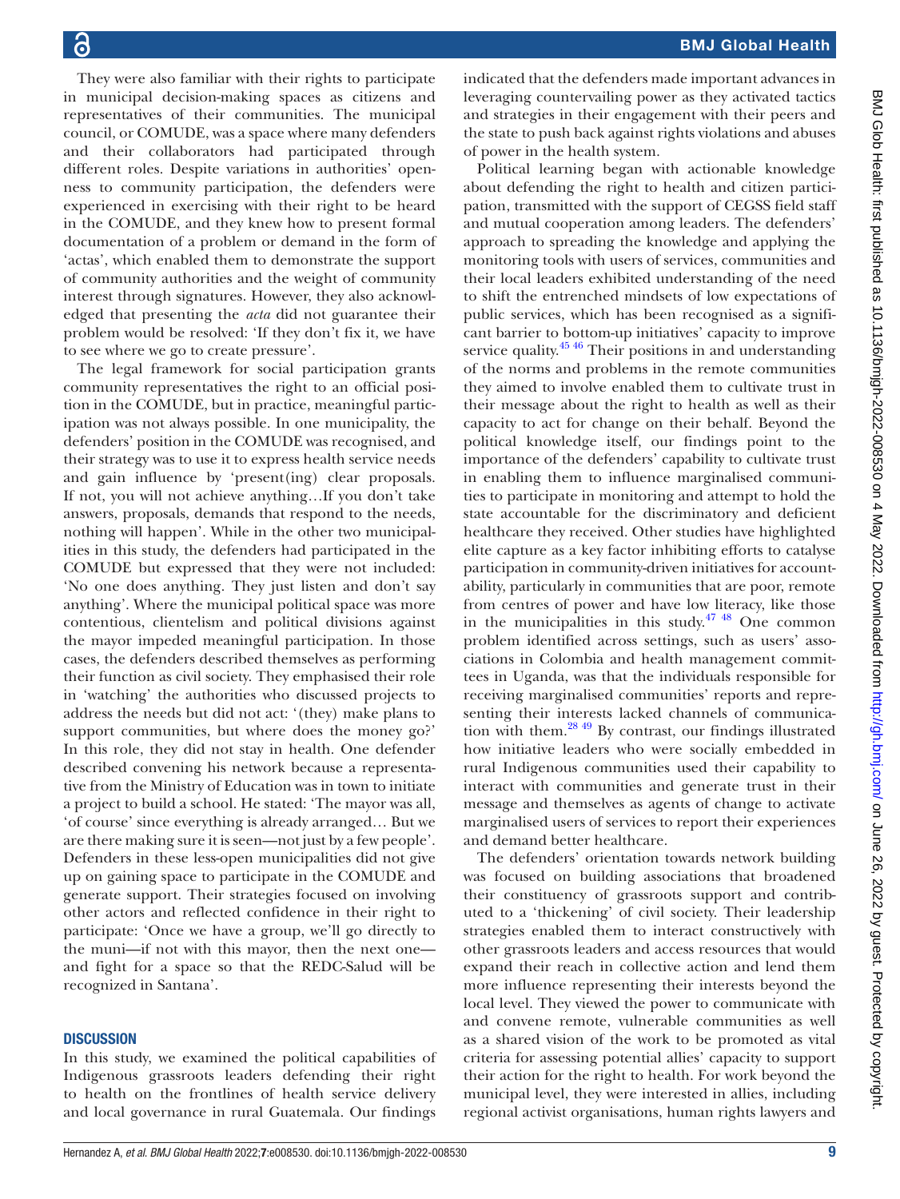They were also familiar with their rights to participate in municipal decision-making spaces as citizens and representatives of their communities. The municipal council, or COMUDE, was a space where many defenders and their collaborators had participated through different roles. Despite variations in authorities' openness to community participation, the defenders were experienced in exercising with their right to be heard in the COMUDE, and they knew how to present formal documentation of a problem or demand in the form of 'actas', which enabled them to demonstrate the support of community authorities and the weight of community interest through signatures. However, they also acknowledged that presenting the *acta* did not guarantee their problem would be resolved: 'If they don't fix it, we have to see where we go to create pressure'.

The legal framework for social participation grants community representatives the right to an official position in the COMUDE, but in practice, meaningful participation was not always possible. In one municipality, the defenders' position in the COMUDE was recognised, and their strategy was to use it to express health service needs and gain influence by 'present(ing) clear proposals. If not, you will not achieve anything…If you don't take answers, proposals, demands that respond to the needs, nothing will happen'. While in the other two municipalities in this study, the defenders had participated in the COMUDE but expressed that they were not included: 'No one does anything. They just listen and don't say anything'. Where the municipal political space was more contentious, clientelism and political divisions against the mayor impeded meaningful participation. In those cases, the defenders described themselves as performing their function as civil society. They emphasised their role in 'watching' the authorities who discussed projects to address the needs but did not act: '(they) make plans to support communities, but where does the money go?' In this role, they did not stay in health. One defender described convening his network because a representative from the Ministry of Education was in town to initiate a project to build a school. He stated: 'The mayor was all, 'of course' since everything is already arranged… But we are there making sure it is seen—not just by a few people'. Defenders in these less-open municipalities did not give up on gaining space to participate in the COMUDE and generate support. Their strategies focused on involving other actors and reflected confidence in their right to participate: 'Once we have a group, we'll go directly to the muni—if not with this mayor, then the next one and fight for a space so that the REDC-Salud will be recognized in Santana'.

#### **DISCUSSION**

In this study, we examined the political capabilities of Indigenous grassroots leaders defending their right to health on the frontlines of health service delivery and local governance in rural Guatemala. Our findings

indicated that the defenders made important advances in leveraging countervailing power as they activated tactics and strategies in their engagement with their peers and the state to push back against rights violations and abuses of power in the health system.

Political learning began with actionable knowledge about defending the right to health and citizen participation, transmitted with the support of CEGSS field staff and mutual cooperation among leaders. The defenders' approach to spreading the knowledge and applying the monitoring tools with users of services, communities and their local leaders exhibited understanding of the need to shift the entrenched mindsets of low expectations of public services, which has been recognised as a significant barrier to bottom-up initiatives' capacity to improve service quality.<sup>45 46</sup> Their positions in and understanding of the norms and problems in the remote communities they aimed to involve enabled them to cultivate trust in their message about the right to health as well as their capacity to act for change on their behalf. Beyond the political knowledge itself, our findings point to the importance of the defenders' capability to cultivate trust in enabling them to influence marginalised communities to participate in monitoring and attempt to hold the state accountable for the discriminatory and deficient healthcare they received. Other studies have highlighted elite capture as a key factor inhibiting efforts to catalyse participation in community-driven initiatives for accountability, particularly in communities that are poor, remote from centres of power and have low literacy, like those in the municipalities in this study.<sup> $47\frac{48}{10}$ </sup> One common problem identified across settings, such as users' associations in Colombia and health management committees in Uganda, was that the individuals responsible for receiving marginalised communities' reports and representing their interests lacked channels of communication with them.[28 49](#page-10-19) By contrast, our findings illustrated how initiative leaders who were socially embedded in rural Indigenous communities used their capability to interact with communities and generate trust in their message and themselves as agents of change to activate marginalised users of services to report their experiences and demand better healthcare.

The defenders' orientation towards network building was focused on building associations that broadened their constituency of grassroots support and contributed to a 'thickening' of civil society. Their leadership strategies enabled them to interact constructively with other grassroots leaders and access resources that would expand their reach in collective action and lend them more influence representing their interests beyond the local level. They viewed the power to communicate with and convene remote, vulnerable communities as well as a shared vision of the work to be promoted as vital criteria for assessing potential allies' capacity to support their action for the right to health. For work beyond the municipal level, they were interested in allies, including regional activist organisations, human rights lawyers and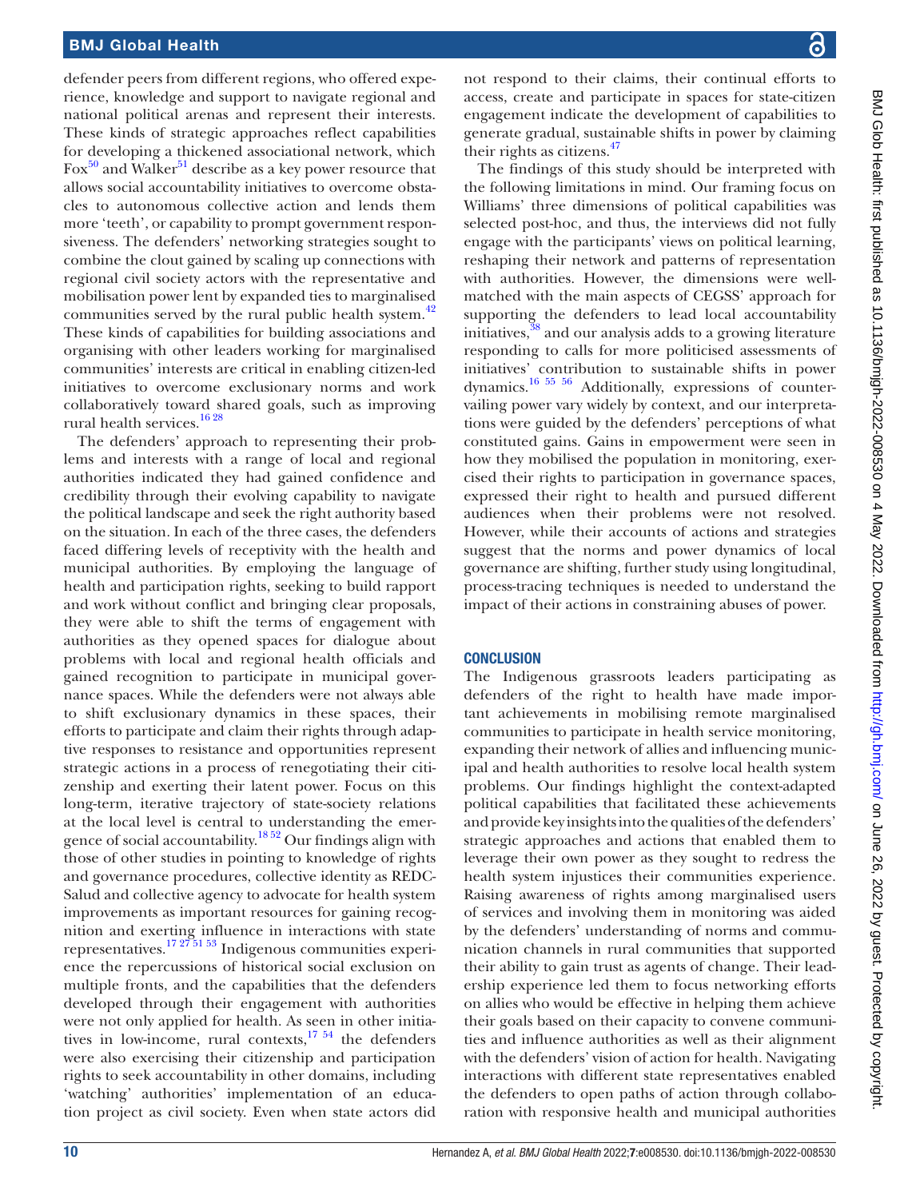defender peers from different regions, who offered experience, knowledge and support to navigate regional and national political arenas and represent their interests. These kinds of strategic approaches reflect capabilities for developing a thickened associational network, which Fox<sup>50</sup> and Walker<sup>[51](#page-11-13)</sup> describe as a key power resource that allows social accountability initiatives to overcome obstacles to autonomous collective action and lends them more 'teeth', or capability to prompt government responsiveness. The defenders' networking strategies sought to combine the clout gained by scaling up connections with regional civil society actors with the representative and mobilisation power lent by expanded ties to marginalised communities served by the rural public health system.<sup>[42](#page-11-6)</sup> These kinds of capabilities for building associations and organising with other leaders working for marginalised communities' interests are critical in enabling citizen-led initiatives to overcome exclusionary norms and work collaboratively toward shared goals, such as improving rural health services.<sup>[16 28](#page-10-11)</sup>

The defenders' approach to representing their problems and interests with a range of local and regional authorities indicated they had gained confidence and credibility through their evolving capability to navigate the political landscape and seek the right authority based on the situation. In each of the three cases, the defenders faced differing levels of receptivity with the health and municipal authorities. By employing the language of health and participation rights, seeking to build rapport and work without conflict and bringing clear proposals, they were able to shift the terms of engagement with authorities as they opened spaces for dialogue about problems with local and regional health officials and gained recognition to participate in municipal governance spaces. While the defenders were not always able to shift exclusionary dynamics in these spaces, their efforts to participate and claim their rights through adaptive responses to resistance and opportunities represent strategic actions in a process of renegotiating their citizenship and exerting their latent power. Focus on this long-term, iterative trajectory of state-society relations at the local level is central to understanding the emergence of social accountability.<sup>18 52</sup> Our findings align with those of other studies in pointing to knowledge of rights and governance procedures, collective identity as REDC-Salud and collective agency to advocate for health system improvements as important resources for gaining recognition and exerting influence in interactions with state representatives.[17 27 51 53](#page-10-12) Indigenous communities experience the repercussions of historical social exclusion on multiple fronts, and the capabilities that the defenders developed through their engagement with authorities were not only applied for health. As seen in other initiatives in low-income, rural contexts,  $17\frac{54}{11}$  the defenders were also exercising their citizenship and participation rights to seek accountability in other domains, including 'watching' authorities' implementation of an education project as civil society. Even when state actors did

not respond to their claims, their continual efforts to access, create and participate in spaces for state-citizen engagement indicate the development of capabilities to generate gradual, sustainable shifts in power by claiming their rights as citizens.<sup>[47](#page-11-11)</sup>

The findings of this study should be interpreted with the following limitations in mind. Our framing focus on Williams' three dimensions of political capabilities was selected post-hoc, and thus, the interviews did not fully engage with the participants' views on political learning, reshaping their network and patterns of representation with authorities. However, the dimensions were wellmatched with the main aspects of CEGSS' approach for supporting the defenders to lead local accountability initiatives,[38](#page-11-4) and our analysis adds to a growing literature responding to calls for more politicised assessments of initiatives' contribution to sustainable shifts in power dynamics[.16 55 56](#page-10-11) Additionally, expressions of countervailing power vary widely by context, and our interpretations were guided by the defenders' perceptions of what constituted gains. Gains in empowerment were seen in how they mobilised the population in monitoring, exercised their rights to participation in governance spaces, expressed their right to health and pursued different audiences when their problems were not resolved. However, while their accounts of actions and strategies suggest that the norms and power dynamics of local governance are shifting, further study using longitudinal, process-tracing techniques is needed to understand the impact of their actions in constraining abuses of power.

#### **CONCLUSION**

The Indigenous grassroots leaders participating as defenders of the right to health have made important achievements in mobilising remote marginalised communities to participate in health service monitoring, expanding their network of allies and influencing municipal and health authorities to resolve local health system problems. Our findings highlight the context-adapted political capabilities that facilitated these achievements and provide key insights into the qualities of the defenders' strategic approaches and actions that enabled them to leverage their own power as they sought to redress the health system injustices their communities experience. Raising awareness of rights among marginalised users of services and involving them in monitoring was aided by the defenders' understanding of norms and communication channels in rural communities that supported their ability to gain trust as agents of change. Their leadership experience led them to focus networking efforts on allies who would be effective in helping them achieve their goals based on their capacity to convene communities and influence authorities as well as their alignment with the defenders' vision of action for health. Navigating interactions with different state representatives enabled the defenders to open paths of action through collaboration with responsive health and municipal authorities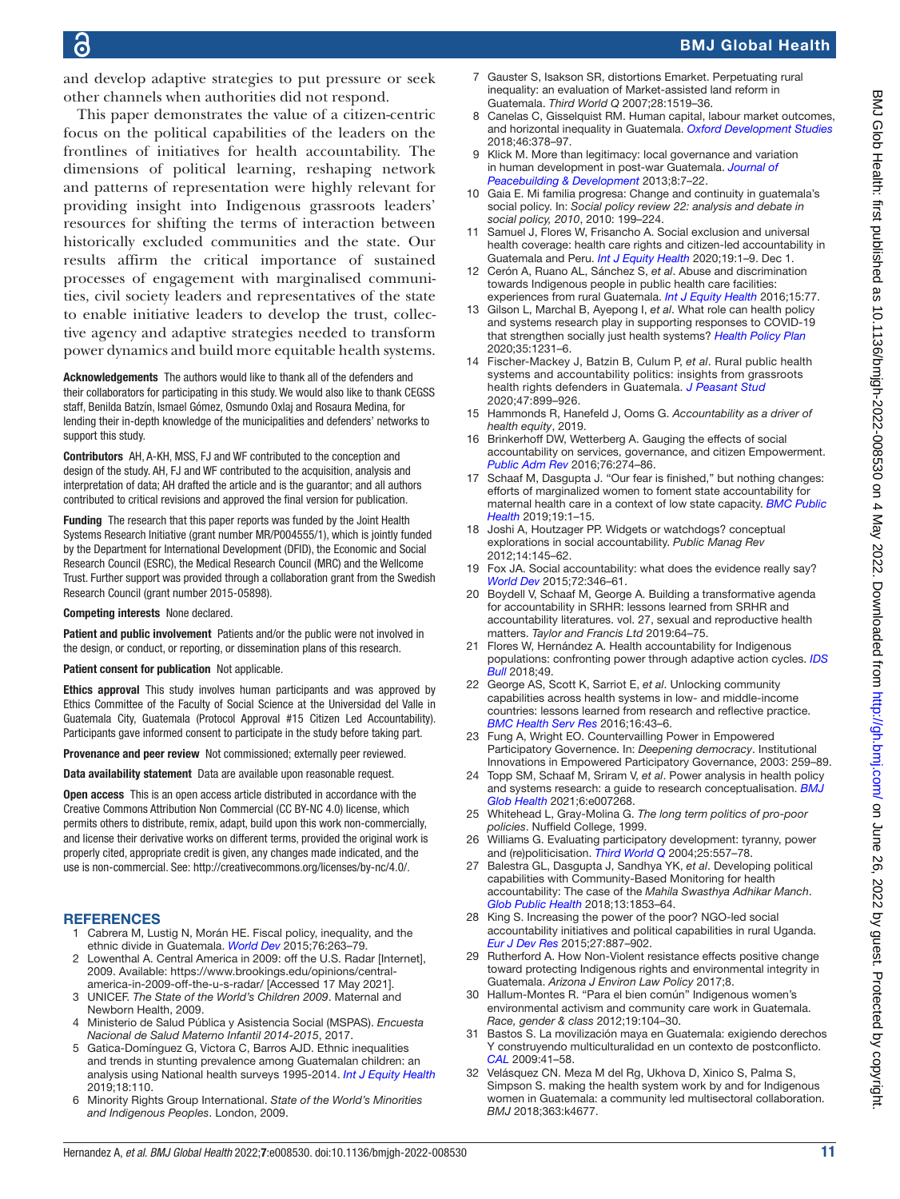and develop adaptive strategies to put pressure or seek other channels when authorities did not respond.

This paper demonstrates the value of a citizen-centric focus on the political capabilities of the leaders on the frontlines of initiatives for health accountability. The dimensions of political learning, reshaping network and patterns of representation were highly relevant for providing insight into Indigenous grassroots leaders' resources for shifting the terms of interaction between historically excluded communities and the state. Our results affirm the critical importance of sustained processes of engagement with marginalised communities, civil society leaders and representatives of the state to enable initiative leaders to develop the trust, collective agency and adaptive strategies needed to transform power dynamics and build more equitable health systems.

Acknowledgements The authors would like to thank all of the defenders and their collaborators for participating in this study. We would also like to thank CEGSS staff, Benilda Batzín, Ismael Gómez, Osmundo Oxlaj and Rosaura Medina, for lending their in-depth knowledge of the municipalities and defenders' networks to support this study.

Contributors AH, A-KH, MSS, FJ and WF contributed to the conception and design of the study. AH, FJ and WF contributed to the acquisition, analysis and interpretation of data; AH drafted the article and is the guarantor; and all authors contributed to critical revisions and approved the final version for publication.

Funding The research that this paper reports was funded by the Joint Health Systems Research Initiative (grant number MR/P004555/1), which is jointly funded by the Department for International Development (DFID), the Economic and Social Research Council (ESRC), the Medical Research Council (MRC) and the Wellcome Trust. Further support was provided through a collaboration grant from the Swedish Research Council (grant number 2015-05898).

#### Competing interests None declared.

Patient and public involvement Patients and/or the public were not involved in the design, or conduct, or reporting, or dissemination plans of this research.

#### Patient consent for publication Not applicable.

Ethics approval This study involves human participants and was approved by Ethics Committee of the Faculty of Social Science at the Universidad del Valle in Guatemala City, Guatemala (Protocol Approval #15 Citizen Led Accountability). Participants gave informed consent to participate in the study before taking part.

Provenance and peer review Not commissioned; externally peer reviewed.

Data availability statement Data are available upon reasonable request.

Open access This is an open access article distributed in accordance with the Creative Commons Attribution Non Commercial (CC BY-NC 4.0) license, which permits others to distribute, remix, adapt, build upon this work non-commercially, and license their derivative works on different terms, provided the original work is properly cited, appropriate credit is given, any changes made indicated, and the use is non-commercial. See:<http://creativecommons.org/licenses/by-nc/4.0/>.

#### **REFERENCES**

- <span id="page-10-0"></span>1 Cabrera M, Lustig N, Morán HE. Fiscal policy, inequality, and the ethnic divide in Guatemala. *[World Dev](http://dx.doi.org/10.1016/j.worlddev.2015.07.008)* 2015;76:263–79.
- <span id="page-10-1"></span>2 Lowenthal A. Central America in 2009: off the U.S. Radar [Internet], 2009. Available: [https://www.brookings.edu/opinions/central](https://www.brookings.edu/opinions/central-america-in-2009-off-the-u-s-radar/)[america-in-2009-off-the-u-s-radar/](https://www.brookings.edu/opinions/central-america-in-2009-off-the-u-s-radar/) [Accessed 17 May 2021].
- 3 UNICEF. *The State of the World's Children 2009*. Maternal and Newborn Health, 2009.
- <span id="page-10-2"></span>4 Ministerio de Salud Pública y Asistencia Social (MSPAS). *Encuesta Nacional de Salud Materno Infantil 2014-2015*, 2017.
- <span id="page-10-3"></span>5 Gatica-Domínguez G, Victora C, Barros AJD. Ethnic inequalities and trends in stunting prevalence among Guatemalan children: an analysis using National health surveys 1995-2014. *[Int J Equity Health](http://dx.doi.org/10.1186/s12939-019-1016-0)* 2019;18:110.
- 6 Minority Rights Group International. *State of the World's Minorities and Indigenous Peoples*. London, 2009.
- <span id="page-10-4"></span>7 Gauster S, Isakson SR, distortions Emarket. Perpetuating rural inequality: an evaluation of Market-assisted land reform in Guatemala. *Third World Q* 2007;28:1519–36.
- <span id="page-10-5"></span>Canelas C, Gisselquist RM. Human capital, labour market outcomes, and horizontal inequality in Guatemala. *[Oxford Development Studies](http://dx.doi.org/10.1080/13600818.2017.1388360)* 2018;46:378–97.
- <span id="page-10-6"></span>9 Klick M. More than legitimacy: local governance and variation in human development in post-war Guatemala. *[Journal of](http://dx.doi.org/10.1080/15423166.2013.855606)  [Peacebuilding & Development](http://dx.doi.org/10.1080/15423166.2013.855606)* 2013;8:7–22.
- 10 Gaia E. Mi familia progresa: Change and continuity in guatemala's social policy. In: *Social policy review 22: analysis and debate in social policy, 2010*, 2010: 199–224.
- <span id="page-10-7"></span>11 Samuel J, Flores W, Frisancho A. Social exclusion and universal health coverage: health care rights and citizen-led accountability in Guatemala and Peru. *[Int J Equity Health](http://dx.doi.org/10.1186/s12939-020-01308-y)* 2020;19:1–9. Dec 1.
- <span id="page-10-8"></span>12 Cerón A, Ruano AL, Sánchez S, *et al*. Abuse and discrimination towards Indigenous people in public health care facilities: experiences from rural Guatemala. *[Int J Equity Health](http://dx.doi.org/10.1186/s12939-016-0367-z)* 2016;15:77.
- <span id="page-10-9"></span>13 Gilson L, Marchal B, Ayepong I, *et al*. What role can health policy and systems research play in supporting responses to COVID-19 that strengthen socially just health systems? *[Health Policy Plan](http://dx.doi.org/10.1093/heapol/czaa112)* 2020;35:1231–6.
- <span id="page-10-21"></span>14 Fischer-Mackey J, Batzin B, Culum P, *et al*. Rural public health systems and accountability politics: insights from grassroots health rights defenders in Guatemala. *[J Peasant Stud](http://dx.doi.org/10.1080/03066150.2020.1768075)* 2020;47:899–926.
- <span id="page-10-10"></span>15 Hammonds R, Hanefeld J, Ooms G. *Accountability as a driver of health equity*, 2019.
- <span id="page-10-11"></span>16 Brinkerhoff DW, Wetterberg A. Gauging the effects of social accountability on services, governance, and citizen Empowerment. *[Public Adm Rev](http://dx.doi.org/10.1111/puar.12399)* 2016;76:274–86.
- <span id="page-10-12"></span>17 Schaaf M, Dasgupta J. "Our fear is finished," but nothing changes: efforts of marginalized women to foment state accountability for maternal health care in a context of low state capacity. *[BMC Public](http://dx.doi.org/10.1186/s12889-019-7028-2)  [Health](http://dx.doi.org/10.1186/s12889-019-7028-2)* 2019;19:1–15.
- <span id="page-10-13"></span>18 Joshi A, Houtzager PP. Widgets or watchdogs? conceptual explorations in social accountability. *Public Manag Rev* 2012;14:145–62.
- 19 Fox JA. Social accountability: what does the evidence really say? *[World Dev](http://dx.doi.org/10.1016/j.worlddev.2015.03.011)* 2015;72:346–61.
- 20 Boydell V, Schaaf M, George A. Building a transformative agenda for accountability in SRHR: lessons learned from SRHR and accountability literatures. vol. 27, sexual and reproductive health matters. *Taylor and Francis Ltd* 2019:64–75.
- <span id="page-10-14"></span>21 Flores W, Hernández A. Health accountability for Indigenous populations: confronting power through adaptive action cycles. *[IDS](http://dx.doi.org/10.19088/1968-2018.133)  [Bull](http://dx.doi.org/10.19088/1968-2018.133)* 2018;49.
- <span id="page-10-15"></span>22 George AS, Scott K, Sarriot E, *et al*. Unlocking community capabilities across health systems in low- and middle-income countries: lessons learned from research and reflective practice. *[BMC Health Serv Res](http://dx.doi.org/10.1186/s12913-016-1859-7)* 2016;16:43–6.
- 23 Fung A, Wright EO. Countervailling Power in Empowered Participatory Governence. In: *Deepening democracy*. Institutional Innovations in Empowered Participatory Governance, 2003: 259–89.
- 24 Topp SM, Schaaf M, Sriram V, *et al*. Power analysis in health policy and systems research: a guide to research conceptualisation. *[BMJ](http://dx.doi.org/10.1136/bmjgh-2021-007268)  [Glob Health](http://dx.doi.org/10.1136/bmjgh-2021-007268)* 2021;6:e007268.
- <span id="page-10-16"></span>25 Whitehead L, Gray-Molina G. *The long term politics of pro-poor policies*. Nuffield College, 1999.
- <span id="page-10-17"></span>26 Williams G. Evaluating participatory development: tyranny, power and (re)politicisation. *[Third World Q](http://dx.doi.org/10.1080/0143659042000191438)* 2004;25:557–78.
- <span id="page-10-18"></span>27 Balestra GL, Dasgupta J, Sandhya YK, *et al*. Developing political capabilities with Community-Based Monitoring for health accountability: The case of the *Mahila Swasthya Adhikar Manch*. *[Glob Public Health](http://dx.doi.org/10.1080/17441692.2018.1464586)* 2018;13:1853–64.
- <span id="page-10-19"></span>28 King S. Increasing the power of the poor? NGO-led social accountability initiatives and political capabilities in rural Uganda. *[Eur J Dev Res](http://dx.doi.org/10.1057/ejdr.2014.74)* 2015;27:887–902.
- <span id="page-10-20"></span>29 Rutherford A. How Non-Violent resistance effects positive change toward protecting Indigenous rights and environmental integrity in Guatemala. *Arizona J Environ Law Policy* 2017;8.
- 30 Hallum-Montes R. "Para el bien común" Indigenous women's environmental activism and community care work in Guatemala. *Race, gender & class* 2012;19:104–30.
- 31 Bastos S. La movilización maya en Guatemala: exigiendo derechos Y construyendo multiculturalidad en un contexto de postconflicto. *[CAL](http://dx.doi.org/10.4000/cal.1376)* 2009:41–58.
- 32 Velásquez CN. Meza M del Rg, Ukhova D, Xinico S, Palma S, Simpson S. making the health system work by and for Indigenous women in Guatemala: a community led multisectoral collaboration. *BMJ* 2018;363:k4677.